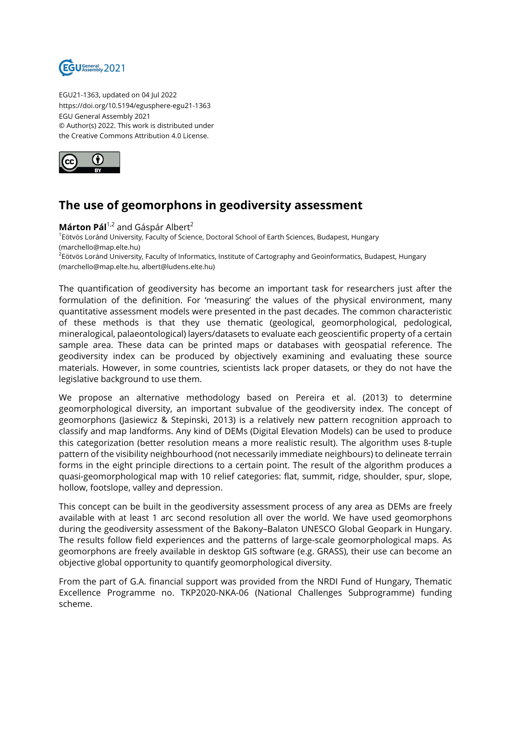

EGU21-1363, updated on 04 Jul 2022 https://doi.org/10.5194/egusphere-egu21-1363 EGU General Assembly 2021 © Author(s) 2022. This work is distributed under the Creative Commons Attribution 4.0 License.



## **The use of geomorphons in geodiversity assessment**

Márton Pál<sup>1,2</sup> and Gáspár Albert<sup>2</sup> 1 Eötvös Loránd University, Faculty of Science, Doctoral School of Earth Sciences, Budapest, Hungary (marchello@map.elte.hu) <sup>2</sup>Eötvös Loránd University, Faculty of Informatics, Institute of Cartography and Geoinformatics, Budapest, Hungary (marchello@map.elte.hu, albert@ludens.elte.hu)

The quantification of geodiversity has become an important task for researchers just after the formulation of the definition. For 'measuring' the values of the physical environment, many quantitative assessment models were presented in the past decades. The common characteristic of these methods is that they use thematic (geological, geomorphological, pedological, mineralogical, palaeontological) layers/datasets to evaluate each geoscientific property of a certain sample area. These data can be printed maps or databases with geospatial reference. The geodiversity index can be produced by objectively examining and evaluating these source materials. However, in some countries, scientists lack proper datasets, or they do not have the legislative background to use them.

We propose an alternative methodology based on Pereira et al. (2013) to determine geomorphological diversity, an important subvalue of the geodiversity index. The concept of geomorphons (Jasiewicz & Stepinski, 2013) is a relatively new pattern recognition approach to classify and map landforms. Any kind of DEMs (Digital Elevation Models) can be used to produce this categorization (better resolution means a more realistic result). The algorithm uses 8-tuple pattern of the visibility neighbourhood (not necessarily immediate neighbours) to delineate terrain forms in the eight principle directions to a certain point. The result of the algorithm produces a quasi-geomorphological map with 10 relief categories: flat, summit, ridge, shoulder, spur, slope, hollow, footslope, valley and depression.

This concept can be built in the geodiversity assessment process of any area as DEMs are freely available with at least 1 arc second resolution all over the world. We have used geomorphons during the geodiversity assessment of the Bakony–Balaton UNESCO Global Geopark in Hungary. The results follow field experiences and the patterns of large-scale geomorphological maps. As geomorphons are freely available in desktop GIS software (e.g. GRASS), their use can become an objective global opportunity to quantify geomorphological diversity.

From the part of G.A. financial support was provided from the NRDI Fund of Hungary, Thematic Excellence Programme no. TKP2020-NKA-06 (National Challenges Subprogramme) funding scheme.